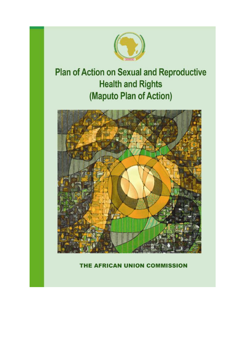

# **Plan of Action on Sexual and Reproductive Health and Rights** (Maputo Plan of Action)



# THE AFRICAN UNION COMMISSION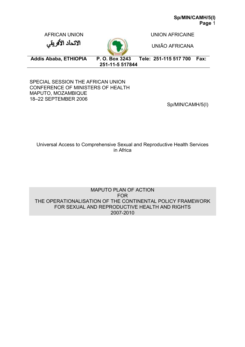AFRICAN UNION NEWSLET CONTROL CONTRACT A UNION AFRICAINE

UNIÃO AFRICANA

الانحاد الأفريقي



**Addis Ababa, ETHIOPIA P. O. Box 3243 Tele: 251-115 517 700 Fax: 251-11-5 517844** 

SPECIAL SESSION THE AFRICAN UNION CONFERENCE OF MINISTERS OF HEALTH MAPUTO, MOZAMBIQUE 18–22 SEPTEMBER 2006

Sp/MIN/CAMH/5(I)

Universal Access to Comprehensive Sexual and Reproductive Health Services in Africa

MAPUTO PLAN OF ACTION FOR THE OPERATIONALISATION OF THE CONTINENTAL POLICY FRAMEWORK FOR SEXUAL AND REPRODUCTIVE HEALTH AND RIGHTS 2007-2010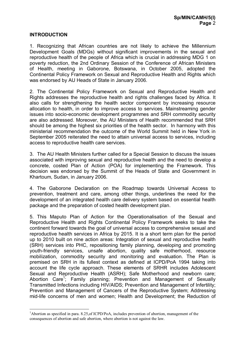#### **INTRODUCTION**

 $\overline{a}$ 

1. Recognizing that African countries are not likely to achieve the Millennium Development Goals (MDGs) without significant improvements in the sexual and reproductive health of the people of Africa which is crucial in addressing MDG 1 on poverty reduction, the 2nd Ordinary Session of the Conference of African Ministers of Health, meeting in Gaborone, Botswana, in October 2005, adopted the Continental Policy Framework on Sexual and Reproductive Health and Rights which was endorsed by AU Heads of State in January 2006.

2. The Continental Policy Framework on Sexual and Reproductive Health and Rights addresses the reproductive health and rights challenges faced by Africa. It also calls for strengthening the health sector component by increasing resource allocation to health, in order to improve access to services. Mainstreaming gender issues into socio-economic development programmes and SRH commodity security are also addressed. Moreover, the AU Ministers of Health recommended that SRH should be among the highest six priorities of the health sector. In harmony with this ministerial recommendation the outcome of the World Summit held in New York in September 2005 reiterated the need to attain universal access to services, including access to reproductive health care services.

3. The AU Health Ministers further called for a Special Session to discuss the issues associated with improving sexual and reproductive health and the need to develop a concrete, costed Plan of Action (POA) for implementing the Framework. This decision was endorsed by the Summit of the Heads of State and Government in Khartoum, Sudan, in January 2006.

4. The Gaborone Declaration on the Roadmap towards Universal Access to prevention, treatment and care, among other things, underlines the need for the development of an integrated health care delivery system based on essential health package and the preparation of costed health development plan.

5. This Maputo Plan of Action for the Operationalisation of the Sexual and Reproductive Health and Rights Continental Policy Framework seeks to take the continent forward towards the goal of universal access to comprehensive sexual and reproductive health services in Africa by 2015. It is a short term plan for the period up to 2010 built on nine action areas: Integration of sexual and reproductive health (SRH) services into PHC, repositioning family planning, developing and promoting youth-friendly services, unsafe abortion, quality safe motherhood, resource mobilization, commodity security and monitoring and evaluation. The Plan is premised on SRH in its fullest context as defined at ICPD/PoA 1994 taking into account the life cycle approach. These elements of SRHR includes Adolescent Sexual and Reproductive Health (ASRH); Safe Motherhood and newborn care; Abortion Care<sup>1</sup>; Family planning; Prevention and Management of Sexually Transmitted Infections including HIV/AIDS; Prevention and Management of Infertility; Prevention and Management of Cancers of the Reproductive System; Addressing mid-life concerns of men and women; Health and Development; the Reduction of

<sup>1</sup>Abortion as specified in para. 8.25,of ICPD/PoA, includes prevention of abortion, management of the consequences of abortion and safe abortion, where abortion is not against the law.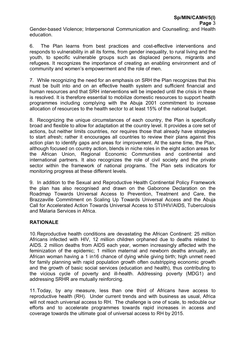Gender-based Violence; Interpersonal Communication and Counselling; and Health education.

6. The Plan learns from best practices and cost-effective interventions and responds to vulnerability in all its forms, from gender inequality, to rural living and the youth, to specific vulnerable groups such as displaced persons, migrants and refugees. It recognizes the importance of creating an enabling environment and of community and women's empowerment and the role of men.

7. While recognizing the need for an emphasis on SRH the Plan recognizes that this must be built into and on an effective health system and sufficient financial and human resources and that SRH interventions will be impeded until the crisis in these is resolved. It is therefore essential to mobilize domestic resources to support health programmes including complying with the Abuja 2001 commitment to increase allocation of resources to the health sector to at least 15% of the national budget.

8. Recognizing the unique circumstances of each country, the Plan is specifically broad and flexible to allow for adaptation at the country level. It provides a core set of actions, but neither limits countries, nor requires those that already have strategies to start afresh; rather it encourages all countries to review their plans against this action plan to identify gaps and areas for improvement. At the same time, the Plan, although focused on country action, blends in niche roles in the eight action areas for the African Union, Regional Economic Communities and continental and international partners. It also recognizes the role of civil society and the private sector within the framework of national programs. The Plan sets indicators for monitoring progress at these different levels.

9. In addition to the Sexual and Reproductive Health Continental Policy Framework the plan has also recognised and drawn on the Gaborone Declaration on the Roadmap Towards Universal Access to Prevention, Treatment and Care, the Brazzaville Commitment on Scaling Up Towards Universal Access and the Abuja Call for Accelerated Action Towards Universal Access to STI/HIV/AIDS, Tuberculosis and Malaria Services in Africa.

# **RATIONALE**

10.Reproductive health conditions are devastating the African Continent: 25 million Africans infected with HIV, 12 million children orphaned due to deaths related to AIDS. 2 million deaths from AIDS each year, women increasingly affected with the feminization of the epidemic; 1 million maternal and newborn deaths annually, an African woman having a 1 in16 chance of dying while giving birth; high unmet need for family planning with rapid population growth often outstripping economic growth and the growth of basic social services (education and health), thus contributing to the vicious cycle of poverty and ill-health. Addressing poverty (MDG1) and addressing SRHR are mutually reinforcing.

11.Today, by any measure, less than one third of Africans have access to reproductive health (RH). Under current trends and with business as usual, Africa will not reach universal access to RH. The challenge is one of scale, to redouble our efforts and to accelerate programmes towards rapid increases in access and coverage towards the ultimate goal of universal access to RH by 2015.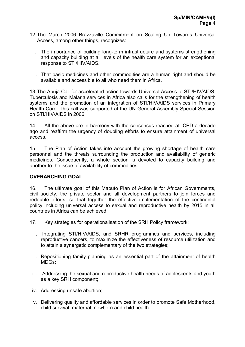- 12.The March 2006 Brazzaville Commitment on Scaling Up Towards Universal Access, among other things, recognizes:
	- i. The importance of building long-term infrastructure and systems strengthening and capacity building at all levels of the health care system for an exceptional response to STI/HIV/AIDS.
	- ii. That basic medicines and other commodities are a human right and should be available and accessible to all who need them in Africa.

13.The Abuja Call for accelerated action towards Universal Access to STI/HIV/AIDS, Tuberculosis and Malaria services in Africa also calls for the strengthening of health systems and the promotion of an integration of STI/HIV/AIDS services in Primary Health Care. This call was supported at the UN General Assembly Special Session on STI/HIV/AIDS in 2006.

14. All the above are in harmony with the consensus reached at ICPD a decade ago and reaffirm the urgency of doubling efforts to ensure attainment of universal access.

15. The Plan of Action takes into account the growing shortage of health care personnel and the threats surrounding the production and availability of generic medicines. Consequently, a whole section is devoted to capacity building and another to the issue of availability of commodities.

#### **OVERARCHING GOAL**

16. The ultimate goal of this Maputo Plan of Action is for African Governments, civil society, the private sector and all development partners to join forces and redouble efforts, so that together the effective implementation of the continental policy including universal access to sexual and reproductive health by 2015 in all countries in Africa can be achieved

- 17. Key strategies for operationalisation of the SRH Policy framework:
	- i. Integrating STI/HIV/AIDS, and SRHR programmes and services, including reproductive cancers, to maximize the effectiveness of resource utilization and to attain a synergetic complementary of the two strategies;
	- ii. Repositioning family planning as an essential part of the attainment of health MDGs;
	- iii. Addressing the sexual and reproductive health needs of adolescents and youth as a key SRH component;
- iv. Addressing unsafe abortion;
- v. Delivering quality and affordable services in order to promote Safe Motherhood, child survival, maternal, newborn and child health.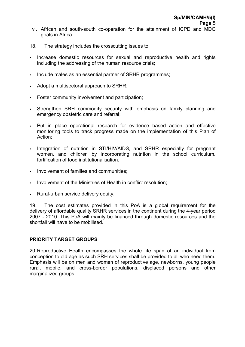- vi. African and south-south co-operation for the attainment of ICPD and MDG goals in Africa
- 18. The strategy includes the crosscutting issues to:
- Increase domestic resources for sexual and reproductive health and rights including the addressing of the human resource crisis;
- Include males as an essential partner of SRHR programmes;
- Adopt a multisectoral approach to SRHR;
- **Foster community involvement and participation;**
- If Strengthen SRH commodity security with emphasis on family planning and emergency obstetric care and referral;
- Dut in place operational research for evidence based action and effective monitoring tools to track progress made on the implementation of this Plan of Action;
- Integration of nutrition in STI/HIV/AIDS, and SRHR especially for pregnant women, and children by incorporating nutrition in the school curriculum. fortification of food institutionalisation.
- **Involvement of families and communities:**
- Involvement of the Ministries of Health in conflict resolution;
- Rural-urban service delivery equity.

19. The cost estimates provided in this PoA is a global requirement for the delivery of affordable quality SRHR services in the continent during the 4-year period 2007 - 2010. This PoA will mainly be financed through domestic resources and the shortfall will have to be mobilised.

#### **PRIORITY TARGET GROUPS**

20 Reproductive Health encompasses the whole life span of an individual from conception to old age as such SRH services shall be provided to all who need them. Emphasis will be on men and women of reproductive age, newborns, young people rural, mobile, and cross-border populations, displaced persons and other marginalized groups.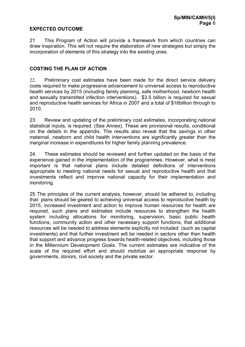# **EXPECTED OUTCOME**

21 This Program of Action will provide a framework from which countries can draw inspiration. This will not require the elaboration of new strategies but simply the incorporation of elements of this strategy into the existing ones.

## **COSTING THE PLAN OF ACTION**

22. Preliminary cost estimates have been made for the direct service delivery costs required to make progressive advancement to universal access to reproductive health services by 2015 (including family planning, safe motherhood, newborn health and sexually transmitted infection interventions). \$3.5 billion is required for sexual and reproductive health services for Africa in 2007 and a total of \$16billion through to 2010.

23. Review and updating of the preliminary cost estimates, incorporating national statistical inputs, is required. (See Annex). These are provisional results, conditional on the details in the appendix. The results also reveal that the savings in other maternal, newborn and child health interventions are significantly greater than the marginal increase in expenditures for higher family planning prevalence.

24. These estimates should be reviewed and further updated on the basis of the experience gained in the implementation of the programmes. However, what is most important is that national plans include detailed definitions of interventions appropriate to meeting national needs for sexual and reproductive health and that investments reflect and improve national capacity for their implementation and monitoring.

25.The principles of the current analysis, however, should be adhered to, including that: plans should be geared to achieving universal access to reproductive health by 2015, increased investment and action to improve human resources for health are required, such plans and estimates include resources to strengthen the health system including allocations for monitoring, supervision, basic public health functions, community action and other necessary support functions, that additional resources will be needed to address elements explicitly not included (such as capital investments) and that further investment will be needed in sectors other than health that support and advance progress towards health-related objectives, including those in the Millennium Development Goals. The current estimates are indicative of the scale of the required effort and should mobilize an appropriate response by governments, donors, civil society and the private sector.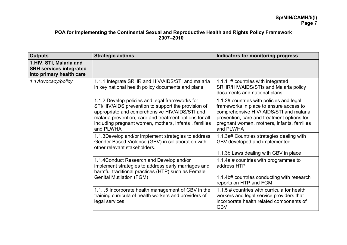#### **POA for Implementing the Continental Sexual and Reproductive Health and Rights Policy Framework 2007–2010**

| <b>Outputs</b>                                                                         | <b>Strategic actions</b>                                                                                                                                                                                                                                                                | Indicators for monitoring progress                                                                                                                                                                                                      |
|----------------------------------------------------------------------------------------|-----------------------------------------------------------------------------------------------------------------------------------------------------------------------------------------------------------------------------------------------------------------------------------------|-----------------------------------------------------------------------------------------------------------------------------------------------------------------------------------------------------------------------------------------|
| 1. HIV, STI, Malaria and<br><b>SRH services integrated</b><br>into primary health care |                                                                                                                                                                                                                                                                                         |                                                                                                                                                                                                                                         |
| 1.1 Advocacy/policy                                                                    | 1.1.1 Integrate SRHR and HIV/AIDS/STI and malaria<br>in key national health policy documents and plans                                                                                                                                                                                  | 1.1.1 # countries with integrated<br>SRHR/HIV/AIDS/STIs and Malaria policy<br>documents and national plans                                                                                                                              |
|                                                                                        | 1.1.2 Develop policies and legal frameworks for<br>STI/HIV/AIDS prevention to support the provision of<br>appropriate and comprehensive HIV/AIDS/STI and<br>malaria prevention, care and treatment options for all<br>including pregnant women, mothers, infants, families<br>and PLWHA | 1.1.2# countries with policies and legal<br>frameworks in place to ensure access to<br>comprehensive HIV/ AIDS/STI and malaria<br>prevention, care and treatment options for<br>pregnant women, mothers, infants, families<br>and PLWHA |
|                                                                                        | 1.1.3 Develop and/or implement strategies to address<br>Gender Based Violence (GBV) in collaboration with<br>other relevant stakeholders.                                                                                                                                               | 1.1.3a# Countries strategies dealing with<br>GBV developed and implemented.<br>1.1.3b Laws dealing with GBV in place                                                                                                                    |
|                                                                                        | 1.1.4 Conduct Research and Develop and/or<br>implement strategies to address early marriages and<br>harmful traditional practices (HTP) such as Female<br><b>Genital Mutilation (FGM)</b>                                                                                               | 1.1.4a # countries with programmes to<br>address HTP<br>1.1.4b# countries conducting with research<br>reports on HTP and FGM                                                                                                            |
|                                                                                        | 1.1. .5 Incorporate health management of GBV in the<br>training curricula of health workers and providers of<br>legal services.                                                                                                                                                         | 1.1.5 # countries with curricula for health<br>workers and legal service providers that<br>incorporate health related components of<br><b>GBV</b>                                                                                       |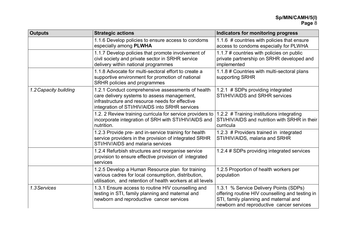| <b>Outputs</b>        | <b>Strategic actions</b>                                                                                                                                                                              | <b>Indicators for monitoring progress</b>                                                                                                                                      |
|-----------------------|-------------------------------------------------------------------------------------------------------------------------------------------------------------------------------------------------------|--------------------------------------------------------------------------------------------------------------------------------------------------------------------------------|
|                       | 1.1.6 Develop policies to ensure access to condoms<br>especially among PLWHA                                                                                                                          | 1.1.6 # countries with policies that ensure<br>access to condoms especially for PLWHA                                                                                          |
|                       | 1.1.7 Develop policies that promote involvement of<br>civil society and private sector in SRHR service<br>delivery within national programmes                                                         | 1.1.7 # countries with policies on public<br>private partnership on SRHR developed and<br>implemented                                                                          |
|                       | 1.1.8 Advocate for multi-sectoral effort to create a<br>supportive environment for promotion of national<br>SRHR policies and programmes                                                              | 1.1.8 # Countries with multi-sectoral plans<br>supporting SRHR                                                                                                                 |
| 1.2 Capacity building | 1.2.1 Conduct comprehensive assessments of health<br>care delivery systems to assess management,<br>infrastructure and resource needs for effective<br>integration of STI/HIV/AIDS into SRHR services | 1.2.1 # SDPs providing integrated<br>STI/HIV/AIDS and SRHR services                                                                                                            |
|                       | 1.2. 2 Review training curricula for service providers to<br>incorporate integration of SRH with STI/HIV/AIDS and<br>nutrition.                                                                       | 1.2.2 # Training institutions integrating<br>STI/HIV/AIDS and nutrition with SRHR in their<br>curricula                                                                        |
|                       | 1.2.3 Provide pre- and in-service training for health<br>service providers in the provision of integrated SRHR<br>STI/HIV/AIDS and malaria services                                                   | 1.2.3 # Providers trained in integrated<br>STI/HIV/AIDS, malaria and SRHR                                                                                                      |
|                       | 1.2.4 Refurbish structures and reorganise service<br>provision to ensure effective provision of integrated<br>services                                                                                | 1.2.4 # SDPs providing integrated services                                                                                                                                     |
|                       | 1.2.5 Develop a Human Resource plan for training<br>various cadres for local consumption, distribution,<br>utilisation, and retention of health workers at all levels                                 | 1.2.5 Proportion of health workers per<br>population                                                                                                                           |
| 1.3 Services          | 1.3.1 Ensure access to routine HIV counselling and<br>testing in STI, family planning and maternal and<br>newborn and reproductive cancer services                                                    | 1.3.1 % Service Delivery Points (SDPs)<br>offering routine HIV counselling and testing in<br>STI, family planning and maternal and<br>newborn and reproductive cancer services |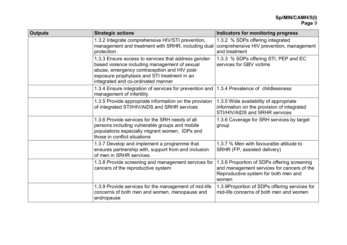| <b>Outputs</b> | <b>Strategic actions</b>                                                                                                                                                                                                                    | Indicators for monitoring progress                                                                                                         |
|----------------|---------------------------------------------------------------------------------------------------------------------------------------------------------------------------------------------------------------------------------------------|--------------------------------------------------------------------------------------------------------------------------------------------|
|                | 1.3.2 Integrate comprehensive HIV/STI prevention,<br>management and treatment with SRHR, including dual<br>protection                                                                                                                       | 1.3.2 % SDPs offering integrated<br>comprehensive HIV prevention, management<br>and treatment                                              |
|                | 1.3.3 Ensure access to services that address gender-<br>based violence including management of sexual<br>abuse, emergency contraception and HIV post-<br>exposure prophylaxis and STI treatment in an<br>integrated and co-ordinated manner | 1.3.3 % SDPs offering STI, PEP and EC<br>services for GBV victims                                                                          |
|                | 1.3.4 Ensure integration of services for prevention and<br>management of infertility                                                                                                                                                        | 1.3.4 Prevalence of childlessness                                                                                                          |
|                | 1.3.5 Provide appropriate information on the provision<br>of integrated STI/HIV/AIDS and SRHR services                                                                                                                                      | 1.3.5 Wide availability of appropriate<br>information on the provision of integrated<br>STI/HIV/AIDS and SRHR services                     |
|                | 1.3.6 Provide services for the SRH needs of all<br>persons including vulnerable groups and mobile<br>populations especially migrant women, IDPs and<br>those in conflict situations                                                         | 1.3.6 Coverage for SRH services by target<br>group                                                                                         |
|                | 1.3.7 Develop and implement a programme that<br>ensures partnership with, support from and inclusion<br>of men in SRHR services.                                                                                                            | 1.3.7 % Men with favourable attitude to<br>SRHR (FP, assisted delivery)                                                                    |
|                | 1.3.8 Provide screening and management services for<br>cancers of the reproductive system                                                                                                                                                   | 1.3.8 Proportion of SDPs offering screening<br>and management services for cancers of the<br>Reproductive system for both men and<br>women |
|                | 1.3.9 Provide services for the management of mid-life<br>concerns of both men and women, menopause and<br>andropause                                                                                                                        | 1.3.9Proportion of SDPs offering services for<br>mid-life concerns of both men and women                                                   |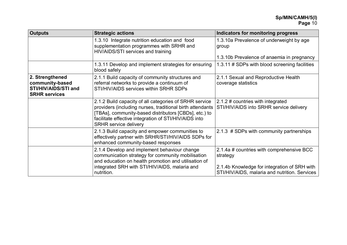| <b>Outputs</b>                                                                     | <b>Strategic actions</b>                                                                                                                                                                                                                                              | Indicators for monitoring progress                                                                                                                     |
|------------------------------------------------------------------------------------|-----------------------------------------------------------------------------------------------------------------------------------------------------------------------------------------------------------------------------------------------------------------------|--------------------------------------------------------------------------------------------------------------------------------------------------------|
|                                                                                    | 1.3.10 Integrate nutrition education and food<br>supplementation programmes with SRHR and<br>HIV/AIDS/STI services and training                                                                                                                                       | 1.3.10a Prevalence of underweight by age<br>group                                                                                                      |
|                                                                                    |                                                                                                                                                                                                                                                                       | 1.3.10b Prevalence of anaemia in pregnancy                                                                                                             |
|                                                                                    | 1.3.11 Develop and implement strategies for ensuring<br>blood safely                                                                                                                                                                                                  | 1.3.11 # SDPs with blood screening facilities                                                                                                          |
| 2. Strengthened<br>community-based<br>STI/HIV/AIDS/STI and<br><b>SRHR services</b> | 2.1.1 Build capacity of community structures and<br>referral networks to provide a continuum of<br>STI/HIV/AIDS services within SRHR SDPs                                                                                                                             | 2.1.1 Sexual and Reproductive Health<br>coverage statistics                                                                                            |
|                                                                                    | 2.1.2 Build capacity of all categories of SRHR service<br>providers (including nurses, traditional birth attendants<br>[TBAs], community-based distributors [CBDs], etc.) to<br>facilitate effective integration of STI/HIV/AIDS into<br><b>SRHR service delivery</b> | 2.1.2 # countries with integrated<br>STI/HIV/AIDS into SRHR service delivery                                                                           |
|                                                                                    | 2.1.3 Build capacity and empower communities to<br>effectively partner with SRHR/STI/HIV/AIDS SDPs for<br>enhanced community-based responses                                                                                                                          | 2.1.3 # SDPs with community partnerships                                                                                                               |
|                                                                                    | 2.1.4 Develop and implement behaviour change<br>communication strategy for community mobilisation<br>and education on health promotion and utilisation of<br>integrated SRH with STI/HIV/AIDS, malaria and<br>nutrition.                                              | 2.1.4a # countries with comprehensive BCC<br>strategy<br>2.1.4b Knowledge for integration of SRH with<br>STI/HIV/AIDS, malaria and nutrition. Services |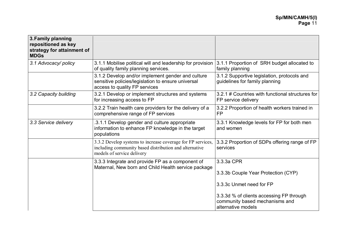| 3. Family planning<br>repositioned as key<br>strategy for attainment of<br><b>MDGs</b> |                                                                                                                                                     |                                                                                                  |
|----------------------------------------------------------------------------------------|-----------------------------------------------------------------------------------------------------------------------------------------------------|--------------------------------------------------------------------------------------------------|
| 3.1 Advocacy/policy                                                                    | 3.1.1 Mobilise political will and leadership for provision<br>of quality family planning services.                                                  | 3.1.1 Proportion of SRH budget allocated to<br>family planning                                   |
|                                                                                        | 3.1.2 Develop and/or implement gender and culture<br>sensitive policies/legislation to ensure universal<br>access to quality FP services            | 3.1.2 Supportive legislation, protocols and<br>guidelines for family planning                    |
| 3.2 Capacity building                                                                  | 3.2.1 Develop or implement structures and systems<br>for increasing access to FP                                                                    | 3.2.1 # Countries with functional structures for<br>FP service delivery                          |
|                                                                                        | 3.2.2 Train health care providers for the delivery of a<br>comprehensive range of FP services                                                       | 3.2.2 Proportion of health workers trained in<br><b>FP</b>                                       |
| 3.3 Service delivery                                                                   | .3.1.1 Develop gender and culture appropriate<br>information to enhance FP knowledge in the target<br>populations                                   | 3.3.1 Knowledge levels for FP for both men<br>and women                                          |
|                                                                                        | 3.3.2 Develop systems to increase coverage for FP services,<br>including community based distribution and alternative<br>models of service delivery | 3.3.2 Proportion of SDPs offering range of FP<br>services                                        |
|                                                                                        | 3.3.3 Integrate and provide FP as a component of<br>Maternal, New born and Child Health service package                                             | 3.3.3a CPR                                                                                       |
|                                                                                        |                                                                                                                                                     | 3.3.3b Couple Year Protection (CYP)                                                              |
|                                                                                        |                                                                                                                                                     | 3.3.3c Unmet need for FP                                                                         |
|                                                                                        |                                                                                                                                                     | 3.3.3d % of clients accessing FP through<br>community based mechanisms and<br>alternative models |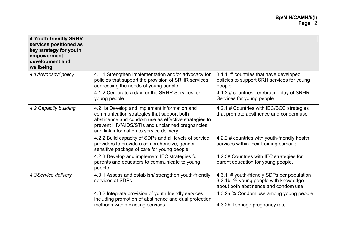| <b>4. Youth-friendly SRHR</b><br>services positioned as<br>key strategy for youth<br>empowerment,<br>development and<br>wellbeing |                                                                                                                                                                                                                                                   |                                                                                                                            |
|-----------------------------------------------------------------------------------------------------------------------------------|---------------------------------------------------------------------------------------------------------------------------------------------------------------------------------------------------------------------------------------------------|----------------------------------------------------------------------------------------------------------------------------|
| 4.1 Advocacy/policy                                                                                                               | 4.1.1 Strengthen implementation and/or advocacy for<br>policies that support the provision of SRHR services<br>addressing the needs of young people                                                                                               | 3.1.1 # countries that have developed<br>policies to support SRH services for young<br>people                              |
|                                                                                                                                   | 4.1.2 Cerebrate a day for the SRHR Services for<br>young people                                                                                                                                                                                   | 4.1.2 # countries cerebrating day of SRHR<br>Services for young people                                                     |
| 4.2 Capacity building                                                                                                             | 4.2.1a Develop and implement information and<br>communication strategies that support both<br>abstinence and condom use as effective strategies to<br>prevent HIV/AIDS/STIs and unplanned pregnancies<br>and link information to service delivery | 4.2.1 # Countries with IEC/BCC strategies<br>that promote abstinence and condom use                                        |
|                                                                                                                                   | 4.2.2 Build capacity of SDPs and all levels of service<br>providers to provide a comprehensive, gender<br>sensitive package of care for young people                                                                                              | 4.2.2 # countries with youth-friendly health<br>services within their training curricula                                   |
|                                                                                                                                   | 4.2.3 Develop and implement IEC strategies for<br>parents and educators to communicate to young<br>people.                                                                                                                                        | 4.2.3# Countries with IEC strategies for<br>parent education for young people.                                             |
| 4.3 Service delivery                                                                                                              | 4.3.1 Assess and establish/ strengthen youth-friendly<br>services at SDPs                                                                                                                                                                         | 4.3.1 # youth-friendly SDPs per population<br>3.2.1b % young people with knowledge<br>about both abstinence and condom use |
|                                                                                                                                   | 4.3.2 Integrate provision of youth friendly services<br>including promotion of abstinence and dual protection<br>methods within existing services                                                                                                 | 4.3.2a % Condom use among young people<br>4.3.2b Teenage pregnancy rate                                                    |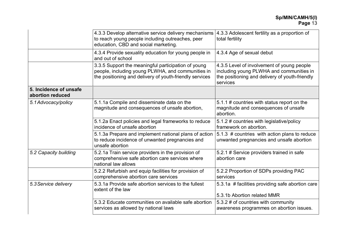|                                            | 4.3.3 Develop alternative service delivery mechanisms<br>to reach young people including outreaches, peer<br>education, CBD and social marketing.                   | 4.3.3 Adolescent fertility as a proportion of<br>total fertility                                                                                     |
|--------------------------------------------|---------------------------------------------------------------------------------------------------------------------------------------------------------------------|------------------------------------------------------------------------------------------------------------------------------------------------------|
|                                            | 4.3.4 Provide sexuality education for young people in<br>and out of school                                                                                          | 4.3.4 Age of sexual debut                                                                                                                            |
|                                            | 3.3.5 Support the meaningful participation of young<br>people, including young PLWHA, and communities in<br>the positioning and delivery of youth-friendly services | 4.3.5 Level of involvement of young people<br>including young PLWHA and communities in<br>the positioning and delivery of youth-friendly<br>services |
| 5. Incidence of unsafe<br>abortion reduced |                                                                                                                                                                     |                                                                                                                                                      |
| 5.1 Advocacy/policy                        | 5.1.1a Compile and disseminate data on the<br>magnitude and consequences of unsafe abortion,                                                                        | 5.1.1 # countries with status report on the<br>magnitude and consequences of unsafe<br>abortion.                                                     |
|                                            | 5.1.2a Enact policies and legal frameworks to reduce<br>incidence of unsafe abortion                                                                                | 5.1.2 # countries with legislative/policy<br>framework on abortion.                                                                                  |
|                                            | 5.1.3a Prepare and implement national plans of action<br>to reduce incidence of unwanted pregnancies and<br>unsafe abortion                                         | 5.1.3 # countries with action plans to reduce<br>unwanted pregnancies and unsafe abortion                                                            |
| 5.2 Capacity building                      | 5.2.1a Train service providers in the provision of<br>comprehensive safe abortion care services where<br>national law allows                                        | 5.2.1 # Service providers trained in safe<br>abortion care                                                                                           |
|                                            | 5.2.2 Refurbish and equip facilities for provision of<br>comprehensive abortion care services                                                                       | 5.2.2 Proportion of SDPs providing PAC<br>services                                                                                                   |
| 5.3 Service delivery                       | 5.3.1a Provide safe abortion services to the fullest<br>extent of the law                                                                                           | 5.3.1a # facilities providing safe abortion care                                                                                                     |
|                                            |                                                                                                                                                                     | 5.3.1b Abortion related MMR                                                                                                                          |
|                                            | 5.3.2 Educate communities on available safe abortion<br>services as allowed by national laws                                                                        | 5.3.2 # of countries with community<br>awareness programmes on abortion issues.                                                                      |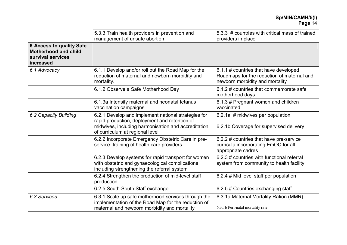|                                                                                                   | 5.3.3 Train health providers in prevention and<br>management of unsafe abortion                                                                                                                | 5.3.3 # countries with critical mass of trained<br>providers in place                                                  |
|---------------------------------------------------------------------------------------------------|------------------------------------------------------------------------------------------------------------------------------------------------------------------------------------------------|------------------------------------------------------------------------------------------------------------------------|
| <b>6. Access to quality Safe</b><br><b>Motherhood and child</b><br>survival services<br>increased |                                                                                                                                                                                                |                                                                                                                        |
| 6.1 Advocacy                                                                                      | 6.1.1 Develop and/or roll out the Road Map for the<br>reduction of maternal and newborn morbidity and<br>mortality.                                                                            | 6.1.1 # countries that have developed<br>Roadmaps for the reduction of maternal and<br>newborn morbidity and mortality |
|                                                                                                   | 6.1.2 Observe a Safe Motherhood Day                                                                                                                                                            | 6.1.2 # countries that commemorate safe<br>motherhood days                                                             |
|                                                                                                   | 6.1.3a Intensify maternal and neonatal tetanus<br>vaccination campaigns                                                                                                                        | 6.1.3 # Pregnant women and children<br>vaccinated                                                                      |
| 6.2 Capacity Building                                                                             | 6.2.1 Develop and implement national strategies for<br>rapid production, deployment and retention of<br>midwives, including harmonisation and accreditation<br>of curriculum at regional level | 6.2.1a # midwives per population<br>6.2.1b Coverage for supervised delivery                                            |
|                                                                                                   | 6.2.2 Incorporate Emergency Obstetric Care in pre-<br>service training of health care providers                                                                                                | 6.2.2 # countries that have pre-service<br>curricula incorporating EmOC for all<br>appropriate cadres                  |
|                                                                                                   | 6.2.3 Develop systems for rapid transport for women<br>with obstetric and gynaecological complications<br>including strengthening the referral system                                          | 6.2.3 # countries with functional referral<br>system from community to health facility.                                |
|                                                                                                   | 6.2.4 Strengthen the production of mid-level staff<br>production                                                                                                                               | 6.2.4 # Mid level staff per population                                                                                 |
|                                                                                                   | 6.2.5 South-South Staff exchange                                                                                                                                                               | 6.2.5 # Countries exchanging staff                                                                                     |
| 6.3 Services                                                                                      | 6.3.1 Scale up safe motherhood services through the<br>implementation of the Road Map for the reduction of<br>maternal and newborn morbidity and mortality                                     | 6.3.1a Maternal Mortality Ration (MMR)<br>6.3.1b Peri-natal mortality rate                                             |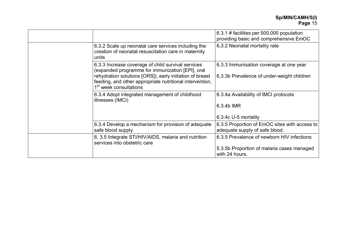|                                                                                                                                                                                                                                                                      | 6.3.1 # facilities per 500,000 population<br>providing basic and comprehensive EmOC                        |
|----------------------------------------------------------------------------------------------------------------------------------------------------------------------------------------------------------------------------------------------------------------------|------------------------------------------------------------------------------------------------------------|
| 6.3.2 Scale up neonatal care services including the<br>creation of neonatal resuscitation care in maternity<br>units                                                                                                                                                 | 6.3.2 Neonatal mortality rate                                                                              |
| 6.3.3 Increase coverage of child survival services<br>(expanded programme for immunization [EPI], oral<br>rehydration solutions [ORS]), early initiation of breast<br>feeding, and other appropriate nutritional intervention,<br>1 <sup>st</sup> week consultations | 6.3.3 Immunisation coverage at one year<br>6.3.3b Prevalence of under-weight children                      |
| 6.3.4 Adopt integrated management of childhood<br>illnesses (IMCI)                                                                                                                                                                                                   | 6.3.4a Availability of IMCI protocols<br>6.3.4b IMR<br>6.3.4c U-5 mortality                                |
| 6.3.4 Develop a mechanism for provision of adequate<br>safe blood supply                                                                                                                                                                                             | 6.3.5 Proportion of EmOC sites with access to<br>adequate supply of safe blood.                            |
| 6.3.5 Integrate STI/HIV/AIDS, malaria and nutrition<br>services into obstetric care                                                                                                                                                                                  | 6.3.5 Prevalence of newborn HIV infections<br>5.3.5b Proportion of malaria cases managed<br>with 24 hours. |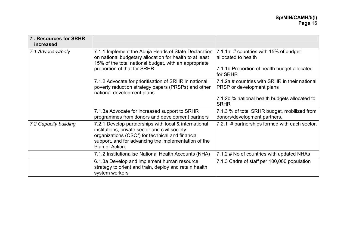| 7. Resources for SRHR<br>increased |                                                                                                                                                                                                                                        |                                                                                                              |
|------------------------------------|----------------------------------------------------------------------------------------------------------------------------------------------------------------------------------------------------------------------------------------|--------------------------------------------------------------------------------------------------------------|
| 7.1 Advocacy/poly                  | 7.1.1 Implement the Abuja Heads of State Declaration<br>on national budgetary allocation for health to at least<br>15% of the total national budget, with an appropriate<br>proportion of that for SRHR                                | 7.1.1a # countries with 15% of budget<br>allocated to health<br>7.1.1b Proportion of health budget allocated |
|                                    |                                                                                                                                                                                                                                        | for SRHR                                                                                                     |
|                                    | 7.1.2 Advocate for prioritisation of SRHR in national<br>poverty reduction strategy papers (PRSPs) and other<br>national development plans                                                                                             | 7.1.2a # countries with SRHR in their national<br>PRSP or development plans                                  |
|                                    |                                                                                                                                                                                                                                        | 7.1.2b % national health budgets allocated to<br><b>SRHR</b>                                                 |
|                                    | 7.1.3a Advocate for increased support to SRHR<br>programmes from donors and development partners                                                                                                                                       | 7.1.3 % of total SRHR budget, mobilized from<br>donors/development partners.                                 |
| 7.2 Capacity building              | 7.2.1 Develop partnerships with local & international<br>institutions, private sector and civil society<br>organizations (CSO/) for technical and financial<br>support, and for advancing the implementation of the<br>Plan of Action. | 7.2.1 # partnerships formed with each sector.                                                                |
|                                    | 7.1.2 Institutionalise National Health Accounts (NHA)                                                                                                                                                                                  | 7.1.2 # No of countries with updated NHAs                                                                    |
|                                    | 6.1.3a Develop and implement human resource<br>strategy to orient and train, deploy and retain health<br>system workers                                                                                                                | 7.1.3 Cadre of staff per 100,000 population                                                                  |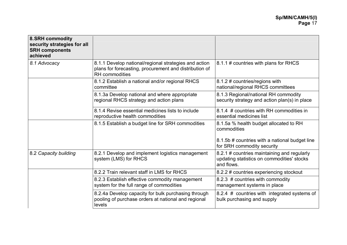| 8. SRH commodity<br>security strategies for all<br><b>SRH components</b><br>achieved |                                                                                                                                          |                                                                                                                                       |
|--------------------------------------------------------------------------------------|------------------------------------------------------------------------------------------------------------------------------------------|---------------------------------------------------------------------------------------------------------------------------------------|
| 8.1 Advocacy                                                                         | 8.1.1 Develop national/regional strategies and action<br>plans for forecasting, procurement and distribution of<br><b>RH</b> commodities | 8.1.1 # countries with plans for RHCS                                                                                                 |
|                                                                                      | 8.1.2 Establish a national and/or regional RHCS<br>committee                                                                             | 8.1.2 # countries/regions with<br>national/regional RHCS committees                                                                   |
|                                                                                      | 8.1.3a Develop national and where appropriate<br>regional RHCS strategy and action plans                                                 | 8.1.3 Regional/national RH commodity<br>security strategy and action plan(s) in place                                                 |
|                                                                                      | 8.1.4 Revise essential medicines lists to include<br>reproductive health commodities                                                     | 8.1.4 # countries with RH commodities in<br>essential medicines list                                                                  |
|                                                                                      | 8.1.5 Establish a budget line for SRH commodities                                                                                        | 8.1.5a % health budget allocated to RH<br>commodities<br>8.1.5b # countries with a national budget line<br>for SRH commodity security |
| 8.2 Capacity building                                                                | 8.2.1 Develop and implement logistics management<br>system (LMS) for RHCS                                                                | 8.2.1 # countries maintaining and regularly<br>updating statistics on commodities' stocks<br>and flows.                               |
|                                                                                      | 8.2.2 Train relevant staff in LMS for RHCS                                                                                               | 8.2.2 # countries experiencing stockout                                                                                               |
|                                                                                      | 8.2.3 Establish effective commodity management<br>system for the full range of commodities                                               | 8.2.3 # countries with commodity<br>management systems in place                                                                       |
|                                                                                      | 8.2.4a Develop capacity for bulk purchasing through<br>pooling of purchase orders at national and regional<br>levels                     | 8.2.4 # countries with integrated systems of<br>bulk purchasing and supply                                                            |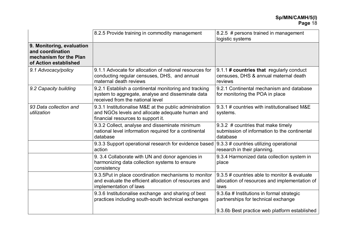|                                                                                                  | 8.2.5 Provide training in commodity management                                                                                                   | 8.2.5 # persons trained in management<br>logistic systems                                             |
|--------------------------------------------------------------------------------------------------|--------------------------------------------------------------------------------------------------------------------------------------------------|-------------------------------------------------------------------------------------------------------|
| 9. Monitoring, evaluation<br>and coordination<br>mechanism for the Plan<br>of Action established |                                                                                                                                                  |                                                                                                       |
| 9.1 Advocacy/policy                                                                              | 9.1.1 Advocate for allocation of national resources for<br>conducting regular censuses, DHS, and annual<br>maternal death reviews                | 9.1.1 # countries that regularly conduct<br>censuses, DHS & annual maternal death<br>reviews          |
| 9.2 Capacity building                                                                            | 9.2.1 Establish a continental monitoring and tracking<br>system to aggregate, analyse and disseminate data<br>received from the national level   | 9.2.1 Continental mechanism and database<br>for monitoring the POA in place                           |
| 93 Data collection and<br>utilization                                                            | 9.3.1 Institutionalise M&E at the public administration<br>and NGOs levels and allocate adequate human and<br>financial resources to support it. | 9.3.1 # countries with institutionalised M&E<br>systems.                                              |
|                                                                                                  | 9.3.2 Collect, analyse and disseminate minimum<br>national level information required for a continental<br>database                              | 9.3.2 # countries that make timely<br>submission of information to the continental<br>database        |
|                                                                                                  | 9.3.3 Support operational research for evidence based<br>action                                                                                  | 9.3.3 # countries utilizing operational<br>research in their planning.                                |
|                                                                                                  | 9.3.4 Collaborate with UN and donor agencies in<br>harmonizing data collection systems to ensure<br>consistency                                  | 9.3.4 Harmonized data collection system in<br>place                                                   |
|                                                                                                  | 9.3.5Put in place coordination mechanisms to monitor<br>and evaluate the efficient allocation of resources and<br>implementation of laws         | 9.3.5 # countries able to monitor & evaluate<br>allocation of resources and implementation of<br>laws |
|                                                                                                  | 9.3.6 Institutionalise exchange and sharing of best<br>practices including south-south technical exchanges                                       | 9.3.6a # Institutions in formal strategic<br>partnerships for technical exchange                      |
|                                                                                                  |                                                                                                                                                  | 9.3.6b Best practice web platform established                                                         |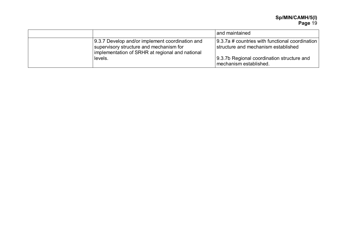**Sp/MIN/CAMH/5(I) Page** 19

|                                                                                                                                               | and maintained                                                                         |
|-----------------------------------------------------------------------------------------------------------------------------------------------|----------------------------------------------------------------------------------------|
| 9.3.7 Develop and/or implement coordination and<br>supervisory structure and mechanism for<br>implementation of SRHR at regional and national | 9.3.7a # countries with functional coordination<br>structure and mechanism established |
| levels.                                                                                                                                       | 9.3.7b Regional coordination structure and<br>mechanism established.                   |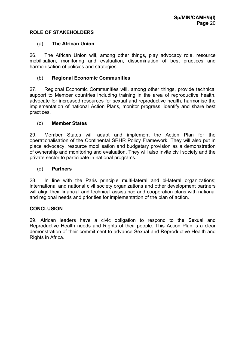#### **ROLE OF STAKEHOLDERS**

#### (a) **The African Union**

26. The African Union will, among other things, play advocacy role, resource mobilisation, monitoring and evaluation, dissemination of best practices and harmonisation of policies and strategies.

#### (b) **Regional Economic Communities**

27. Regional Economic Communities will, among other things, provide technical support to Member countries including training in the area of reproductive health, advocate for increased resources for sexual and reproductive health, harmonise the implementation of national Action Plans, monitor progress, identify and share best practices.

#### (c) **Member States**

29. Member States will adapt and implement the Action Plan for the operationalisation of the Continental SRHR Policy Framework. They will also put in place advocacy, resource mobilisation and budgetary provision as a demonstration of ownership and monitoring and evaluation. They will also invite civil society and the private sector to participate in national programs.

#### (d) **Partners**

28. In line with the Paris principle multi-lateral and bi-lateral organizations; international and national civil society organizations and other development partners will align their financial and technical assistance and cooperation plans with national and regional needs and priorities for implementation of the plan of action.

#### **CONCLUSION**

29. African leaders have a civic obligation to respond to the Sexual and Reproductive Health needs and Rights of their people. This Action Plan is a clear demonstration of their commitment to advance Sexual and Reproductive Health and Rights in Africa.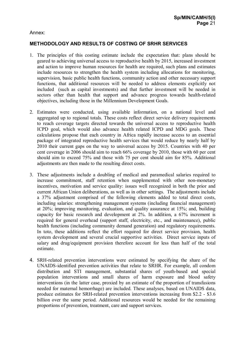#### Annex:

## **METHODOLOGY AND RESULTS OF COSTING OF SRHR SERVICES**

- 1. The principles of this costing estimate include the expectation that: plans should be geared to achieving universal access to reproductive health by 2015, increased investment and action to improve human resources for health are required, such plans and estimates include resources to strengthen the health system including allocations for monitoring, supervision, basic public health functions, community action and other necessary support functions, that additional resources will be needed to address elements explicitly not included (such as capital investments) and that further investment will be needed in sectors other than health that support and advance progress towards health-related objectives, including those in the Millennium Development Goals.
- 2. Estimates were conducted, using available information, on a national level and aggregated up to regional totals. These costs reflect direct service delivery requirements to reach coverage targets directed towards the universal access to reproductive health ICPD goal, which would also advance health related ICPD and MDG goals. These calculations propose that each country in Africa rapidly increase access to an essential package of integrated reproductive health services that would reduce by nearly half by 2010 their current gaps on the way to universal access by 2015. Countries with 40 per cent coverage in 2006 should aim to reach 66% coverage by 2010, those with 60 per cent should aim to exceed 75% and those with 75 per cent should aim for 85%. Additional adjustments are then made to the resulting direct costs.
- 3. These adjustments include a doubling of medical and paramedical salaries required to increase commitment, staff retention when supplemented with other non-monetary incentives, motivation and service quality: issues well recognized in both the prior and current African Union deliberations, as well as in other settings. The adjustments include a 37% adjustment comprised of the following elements added to total direct costs, including salaries: strengthening management systems (including financial management) at 20%; improving monitoring, evaluation, and quality assurance at 15%; and, building capacity for basic research and development at 2%. In addition, a 67% increment is required for general overhead (support staff, electricity, etc., and maintenance), public health functions (including community demand generation) and regulatory requirements. In toto, these additions reflect the effort required for direct service provision, health system development and several crucial supportive activities. Direct service inputs of salary and drug/equipment provision therefore account for less than half of the total estimate.
- 4. SRH-related prevention interventions were estimated by specifying the share of the UNAIDS-identified prevention activities that relate to SRHR. For example, all condom distribution and STI management, substantial shares of youth-based and special population interventions and small shares of harm exposure and blood safety interventions (in the latter case, proxied by an estimate of the proportion of transfusions needed for maternal hemorrhage) are included. These analyses, based on UNAIDS data, produce estimates for SRH-related prevention interventions increasing from \$2.2 - \$3.6 billion over the same period. Additional resources would be needed for the remaining proportions of prevention, treatment, care and support services.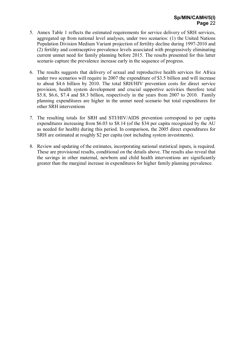- 5. Annex Table 1 reflects the estimated requirements for service delivery of SRH services, aggregated up from national level analyses, under two scenarios: (1) the United Nations Population Division Medium Variant projection of fertility decline during 1997-2010 and (2) fertility and contraceptive prevalence levels associated with progressively eliminating current unmet need for family planning before 2015. The results presented for this latter scenario capture the prevalence increase early in the sequence of progress.
- 6. The results suggests that delivery of sexual and reproductive health services for Africa under two scenarios will require in 2007 the expenditure of \$3.5 billion and will increase to about \$4.6 billion by 2010. The total SRH/HIV prevention costs for direct service provision, health system development and crucial supportive activities therefore total \$5.8, \$6.6, \$7.4 and \$8.3 billion, respectively in the years from 2007 to 2010. Family planning expenditures are higher in the unmet need scenario but total expenditures for other SRH interventions
- 7. The resulting totals for SRH and STI/HIV/AIDS prevention correspond to per capita expenditures increasing from \$6.03 to \$8.14 (of the \$34 per capita recognized by the AU as needed for health) during this period. In comparison, the 2005 direct expenditures for SRH are estimated at roughly \$2 per capita (not including system investments).
- 8. Review and updating of the estimates, incorporating national statistical inputs, is required. These are provisional results, conditional on the details above. The results also reveal that the savings in other maternal, newborn and child health interventions are significantly greater than the marginal increase in expenditures for higher family planning prevalence.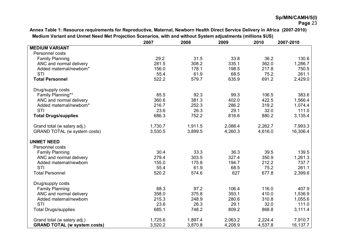**Annex Table 1: Resource requirements for Reproductive, Maternal, Newborn Health Direct Service Delivery in Africa (2007-2010) Medium Variant and Unmet Need Met Projection Scenarios, with and without System adjustments (millions \$US)** 

|                                     | 2007    | 2008    | 2009    | 2010    | 2007-2010 |
|-------------------------------------|---------|---------|---------|---------|-----------|
| <b>MEDIUM VARIANT</b>               |         |         |         |         |           |
| Personnel costs                     |         |         |         |         |           |
| <b>Family Planning</b>              | 29.2    | 31.5    | 33.8    | 36.2    | 130.6     |
| ANC and normal delivery             | 281.5   | 308.2   | 335.1   | 362.0   | 1,286.7   |
| Added maternal/newborn*             | 156.0   | 178.1   | 198.5   | 217.8   | 750.5     |
| <b>STI</b>                          | 55.4    | 61.9    | 68.5    | 75.2    | 261.1     |
| <b>Total Personnel</b>              | 522.2   | 579.7   | 635.9   | 691.2   | 2,429.0   |
| Drug/supply costs                   |         |         |         |         |           |
| Family Planning**                   | 85.5    | 92.3    | 99.3    | 106.5   | 383.6     |
| ANC and normal delivery             | 360.6   | 381.3   | 402.0   | 422.5   | 1,566.4   |
| Added maternal/newborn*             | 216.7   | 252.3   | 286.2   | 319.2   | 1,074.4   |
| STI                                 | 23.6    | 26.3    | 29.1    | 32.0    | 111.0     |
| <b>Total Drugs/supplies</b>         | 686.3   | 752.2   | 816.6   | 880.2   | 3,135.4   |
| Grand total (w salary adj.)         | 1,730.7 | 1,911.5 | 2,088.4 | 2,262.7 | 7,993.3   |
| GRAND TOTAL (w system costs)        | 3,530.5 | 3,899.5 | 4,260.3 | 4,616.0 | 16,306.4  |
| <b>UNMET NEED</b>                   |         |         |         |         |           |
| Personnel costs                     |         |         |         |         |           |
| <b>Family Planning</b>              | 30.4    | 33.3    | 36.3    | 39.5    | 139.5     |
| ANC and normal delivery             | 279.4   | 303.5   | 327.4   | 350.9   | 1,261.3   |
| Added maternal/newborn              | 155.0   | 175.8   | 194.7   | 212.2   | 737.7     |
| <b>STI</b>                          | 55.4    | 61.9    | 68.5    | 75.2    | 261.1     |
| <b>Total Personnel</b>              | 520.2   | 574.6   | 627     | 677.8   | 2,399.6   |
| Drug/supply costs                   |         |         |         |         |           |
| <b>Family Planning</b>              | 88.3    | 97.2    | 106.4   | 116.0   | 407.9     |
| ANC and normal delivery             | 358.0   | 375.8   | 393.1   | 410.0   | 1,536.9   |
| Added maternal/newborn              | 215.3   | 248.9   | 280.6   | 310.8   | 1,055.6   |
| STI                                 | 23.6    | 26.3    | 29.1    | 32.0    | 111.0     |
| <b>Total Drugs/supplies</b>         | 685.1   | 748.2   | 809.2   | 868.8   | 3,111.4   |
| Grand total (w salary adj.)         | 1,725.6 | 1,897.4 | 2,063.2 | 2,224.4 | 7,910.7   |
| <b>GRAND TOTAL (w system costs)</b> | 3,520.2 | 3,870.8 | 4,208.9 | 4,537.8 | 16,137.7  |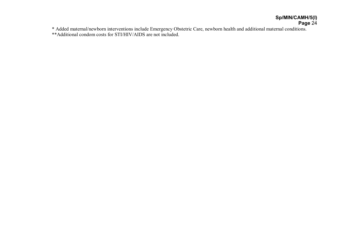# **Sp/MIN/CAMH/5(I) Page** 24

\* Added maternal/newborn interventions include Emergency Obstetric Care, newborn health and additional maternal conditions.

\*\*Additional condom costs for STI/HIV/AIDS are not included.